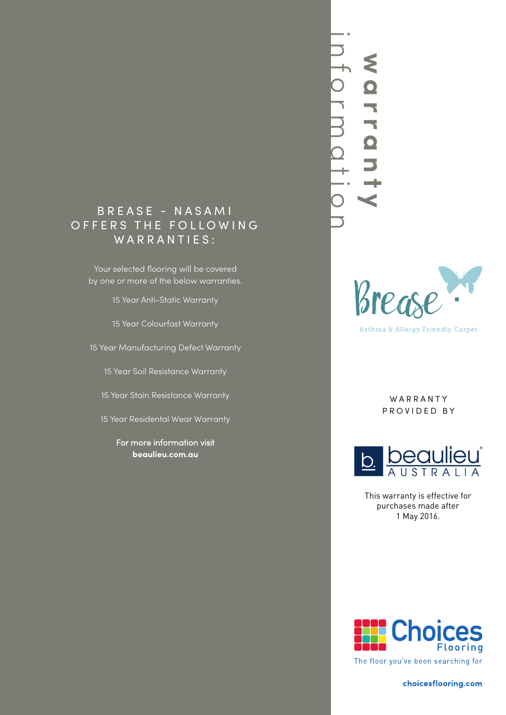# B R E A S E - NASAMI OFFERS THE FOLLOWING W A R R A N T I E S :

Your selected flooring will be covered by one or more of the below warranties.

15 Year Anti-Static Warranty

15 Year Colourfast Warranty

15 Year Manufacturing Defect Warranty

15 Year Soil Resistance Warranty

15 Year Stain Resistance Warranty

15 Year Residental Wear Warranty

For more information visit **beaulieu.com.au**





Asthma & Allergy Friendly Carpet

W A R R A N T Y PROVIDED BY



This warranty is effective for purchases made after 1 May 2016.

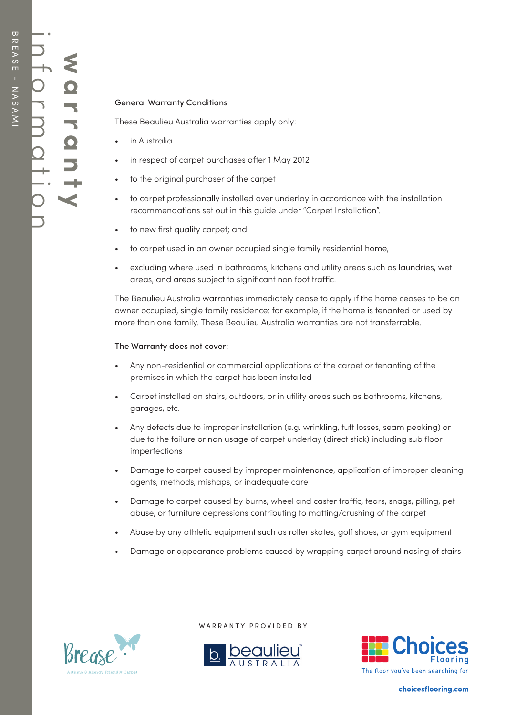# General Warranty Conditions

These Beaulieu Australia warranties apply only:

- in Australia
- in respect of carpet purchases after 1 May 2012
- to the original purchaser of the carpet
- to carpet professionally installed over underlay in accordance with the installation recommendations set out in this guide under "Carpet Installation".
- to new first quality carpet; and
- to carpet used in an owner occupied single family residential home,
- excluding where used in bathrooms, kitchens and utility areas such as laundries, wet areas, and areas subject to significant non foot traffic.

The Beaulieu Australia warranties immediately cease to apply if the home ceases to be an owner occupied, single family residence: for example, if the home is tenanted or used by more than one family. These Beaulieu Australia warranties are not transferrable.

#### The Warranty does not cover:

- Any non-residential or commercial applications of the carpet or tenanting of the premises in which the carpet has been installed
- Carpet installed on stairs, outdoors, or in utility areas such as bathrooms, kitchens, garages, etc.
- Any defects due to improper installation (e.g. wrinkling, tuft losses, seam peaking) or due to the failure or non usage of carpet underlay (direct stick) including sub floor imperfections
- Damage to carpet caused by improper maintenance, application of improper cleaning agents, methods, mishaps, or inadequate care
- Damage to carpet caused by burns, wheel and caster traffic, tears, snags, pilling, pet abuse, or furniture depressions contributing to matting/crushing of the carpet
- Abuse by any athletic equipment such as roller skates, golf shoes, or gym equipment
- Damage or appearance problems caused by wrapping carpet around nosing of stairs



WARRANTY PROVIDED BY



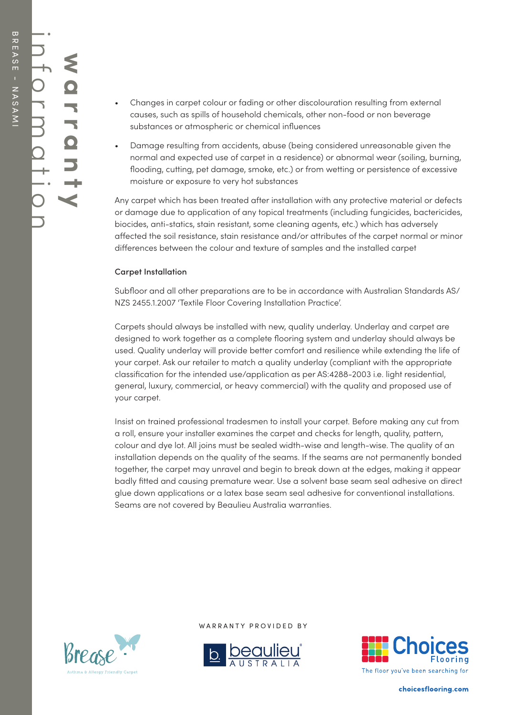- Changes in carpet colour or fading or other discolouration resulting from external causes, such as spills of household chemicals, other non-food or non beverage substances or atmospheric or chemical influences
- Damage resulting from accidents, abuse (being considered unreasonable given the normal and expected use of carpet in a residence) or abnormal wear (soiling, burning, flooding, cutting, pet damage, smoke, etc.) or from wetting or persistence of excessive moisture or exposure to very hot substances

Any carpet which has been treated after installation with any protective material or defects or damage due to application of any topical treatments (including fungicides, bactericides, biocides, anti-statics, stain resistant, some cleaning agents, etc.) which has adversely affected the soil resistance, stain resistance and/or attributes of the carpet normal or minor differences between the colour and texture of samples and the installed carpet

## Carpet Installation

Subfloor and all other preparations are to be in accordance with Australian Standards AS/ NZS 2455.1.2007 'Textile Floor Covering Installation Practice'.

Carpets should always be installed with new, quality underlay. Underlay and carpet are designed to work together as a complete flooring system and underlay should always be used. Quality underlay will provide better comfort and resilience while extending the life of your carpet. Ask our retailer to match a quality underlay (compliant with the appropriate classification for the intended use/application as per AS:4288-2003 i.e. light residential, general, luxury, commercial, or heavy commercial) with the quality and proposed use of your carpet.

Insist on trained professional tradesmen to install your carpet. Before making any cut from a roll, ensure your installer examines the carpet and checks for length, quality, pattern, colour and dye lot. All joins must be sealed width-wise and length-wise. The quality of an installation depends on the quality of the seams. If the seams are not permanently bonded together, the carpet may unravel and begin to break down at the edges, making it appear badly fitted and causing premature wear. Use a solvent base seam seal adhesive on direct glue down applications or a latex base seam seal adhesive for conventional installations. Seams are not covered by Beaulieu Australia warranties.



WARRANTY PROVIDED BY



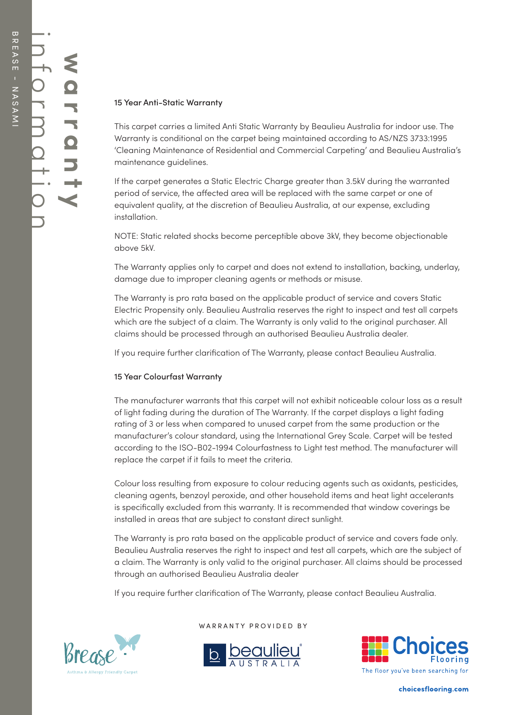## 15 Year Anti-Static Warranty

This carpet carries a limited Anti Static Warranty by Beaulieu Australia for indoor use. The Warranty is conditional on the carpet being maintained according to AS/NZS 3733:1995 'Cleaning Maintenance of Residential and Commercial Carpeting' and Beaulieu Australia's maintenance guidelines.

If the carpet generates a Static Electric Charge greater than 3.5kV during the warranted period of service, the affected area will be replaced with the same carpet or one of equivalent quality, at the discretion of Beaulieu Australia, at our expense, excluding installation.

NOTE: Static related shocks become perceptible above 3kV, they become objectionable above 5kV.

The Warranty applies only to carpet and does not extend to installation, backing, underlay, damage due to improper cleaning agents or methods or misuse.

The Warranty is pro rata based on the applicable product of service and covers Static Electric Propensity only. Beaulieu Australia reserves the right to inspect and test all carpets which are the subject of a claim. The Warranty is only valid to the original purchaser. All claims should be processed through an authorised Beaulieu Australia dealer.

If you require further clarification of The Warranty, please contact Beaulieu Australia.

## 15 Year Colourfast Warranty

The manufacturer warrants that this carpet will not exhibit noticeable colour loss as a result of light fading during the duration of The Warranty. If the carpet displays a light fading rating of 3 or less when compared to unused carpet from the same production or the manufacturer's colour standard, using the International Grey Scale. Carpet will be tested according to the ISO-B02-1994 Colourfastness to Light test method. The manufacturer will replace the carpet if it fails to meet the criteria.

Colour loss resulting from exposure to colour reducing agents such as oxidants, pesticides, cleaning agents, benzoyl peroxide, and other household items and heat light accelerants is specifically excluded from this warranty. It is recommended that window coverings be installed in areas that are subject to constant direct sunlight.

The Warranty is pro rata based on the applicable product of service and covers fade only. Beaulieu Australia reserves the right to inspect and test all carpets, which are the subject of a claim. The Warranty is only valid to the original purchaser. All claims should be processed through an authorised Beaulieu Australia dealer

If you require further clarification of The Warranty, please contact Beaulieu Australia.



WARRANTY PROVIDED BY



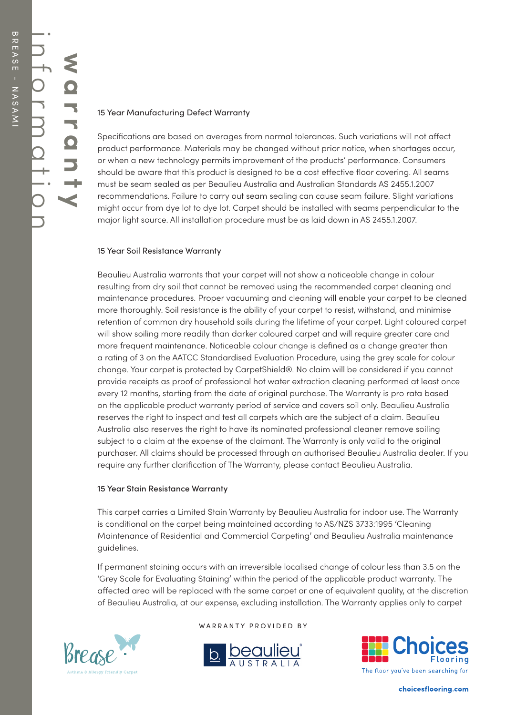#### 15 Year Manufacturing Defect Warranty

Specifications are based on averages from normal tolerances. Such variations will not affect product performance. Materials may be changed without prior notice, when shortages occur, or when a new technology permits improvement of the products' performance. Consumers should be aware that this product is designed to be a cost effective floor covering. All seams must be seam sealed as per Beaulieu Australia and Australian Standards AS 2455.1.2007 recommendations. Failure to carry out seam sealing can cause seam failure. Slight variations might occur from dye lot to dye lot. Carpet should be installed with seams perpendicular to the major light source. All installation procedure must be as laid down in AS 2455.1.2007.

#### 15 Year Soil Resistance Warranty

Beaulieu Australia warrants that your carpet will not show a noticeable change in colour resulting from dry soil that cannot be removed using the recommended carpet cleaning and maintenance procedures. Proper vacuuming and cleaning will enable your carpet to be cleaned more thoroughly. Soil resistance is the ability of your carpet to resist, withstand, and minimise retention of common dry household soils during the lifetime of your carpet. Light coloured carpet will show soiling more readily than darker coloured carpet and will require greater care and more frequent maintenance. Noticeable colour change is defined as a change greater than a rating of 3 on the AATCC Standardised Evaluation Procedure, using the grey scale for colour change. Your carpet is protected by CarpetShield®. No claim will be considered if you cannot provide receipts as proof of professional hot water extraction cleaning performed at least once every 12 months, starting from the date of original purchase. The Warranty is pro rata based on the applicable product warranty period of service and covers soil only. Beaulieu Australia reserves the right to inspect and test all carpets which are the subject of a claim. Beaulieu Australia also reserves the right to have its nominated professional cleaner remove soiling subject to a claim at the expense of the claimant. The Warranty is only valid to the original purchaser. All claims should be processed through an authorised Beaulieu Australia dealer. If you require any further clarification of The Warranty, please contact Beaulieu Australia.

#### 15 Year Stain Resistance Warranty

This carpet carries a Limited Stain Warranty by Beaulieu Australia for indoor use. The Warranty is conditional on the carpet being maintained according to AS/NZS 3733:1995 'Cleaning Maintenance of Residential and Commercial Carpeting' and Beaulieu Australia maintenance guidelines.

If permanent staining occurs with an irreversible localised change of colour less than 3.5 on the 'Grey Scale for Evaluating Staining' within the period of the applicable product warranty. The affected area will be replaced with the same carpet or one of equivalent quality, at the discretion of Beaulieu Australia, at our expense, excluding installation. The Warranty applies only to carpet



WARRANTY PROVIDED BY



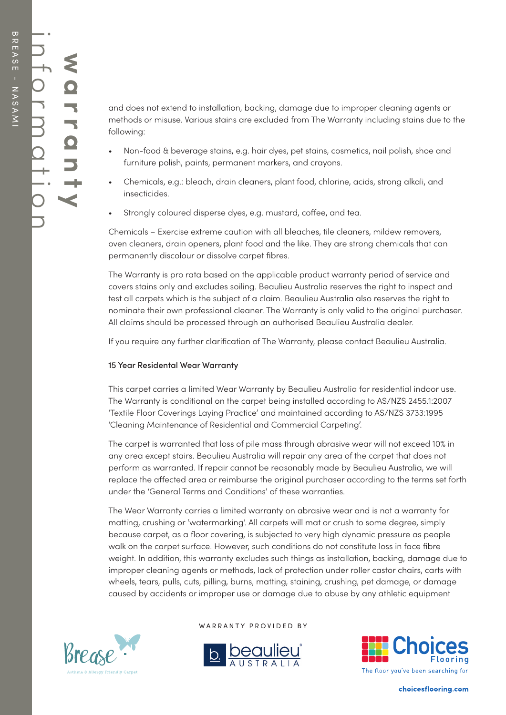and does not extend to installation, backing, damage due to improper cleaning agents or methods or misuse. Various stains are excluded from The Warranty including stains due to the following:

- Non-food & beverage stains, e.g. hair dyes, pet stains, cosmetics, nail polish, shoe and furniture polish, paints, permanent markers, and crayons.
- Chemicals, e.g.: bleach, drain cleaners, plant food, chlorine, acids, strong alkali, and insecticides.
- Strongly coloured disperse dyes, e.g. mustard, coffee, and tea.

Chemicals – Exercise extreme caution with all bleaches, tile cleaners, mildew removers, oven cleaners, drain openers, plant food and the like. They are strong chemicals that can permanently discolour or dissolve carpet fibres.

The Warranty is pro rata based on the applicable product warranty period of service and covers stains only and excludes soiling. Beaulieu Australia reserves the right to inspect and test all carpets which is the subject of a claim. Beaulieu Australia also reserves the right to nominate their own professional cleaner. The Warranty is only valid to the original purchaser. All claims should be processed through an authorised Beaulieu Australia dealer.

If you require any further clarification of The Warranty, please contact Beaulieu Australia.

## 15 Year Residental Wear Warranty

This carpet carries a limited Wear Warranty by Beaulieu Australia for residential indoor use. The Warranty is conditional on the carpet being installed according to AS/NZS 2455.1:2007 'Textile Floor Coverings Laying Practice' and maintained according to AS/NZS 3733:1995 'Cleaning Maintenance of Residential and Commercial Carpeting'.

The carpet is warranted that loss of pile mass through abrasive wear will not exceed 10% in any area except stairs. Beaulieu Australia will repair any area of the carpet that does not perform as warranted. If repair cannot be reasonably made by Beaulieu Australia, we will replace the affected area or reimburse the original purchaser according to the terms set forth under the 'General Terms and Conditions' of these warranties.

The Wear Warranty carries a limited warranty on abrasive wear and is not a warranty for matting, crushing or 'watermarking'. All carpets will mat or crush to some degree, simply because carpet, as a floor covering, is subjected to very high dynamic pressure as people walk on the carpet surface. However, such conditions do not constitute loss in face fibre weight. In addition, this warranty excludes such things as installation, backing, damage due to improper cleaning agents or methods, lack of protection under roller castor chairs, carts with wheels, tears, pulls, cuts, pilling, burns, matting, staining, crushing, pet damage, or damage caused by accidents or improper use or damage due to abuse by any athletic equipment



WARRANTY PROVIDED BY



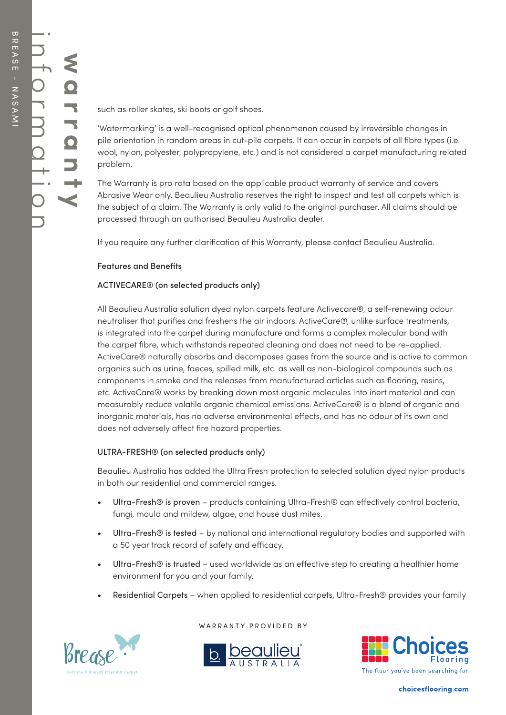such as roller skates, ski boots or golf shoes.

'Watermarking' is a well-recognised optical phenomenon caused by irreversible changes in pile orientation in random areas in cut-pile carpets. It can occur in carpets of all fibre types (i.e. wool, nylon, polyester, polypropylene, etc.) and is not considered a carpet manufacturing related problem.

The Warranty is pro rata based on the applicable product warranty of service and covers Abrasive Wear only. Beaulieu Australia reserves the right to inspect and test all carpets which is the subject of a claim. The Warranty is only valid to the original purchaser. All claims should be processed through an authorised Beaulieu Australia dealer.

If you require any further clarification of this Warranty, please contact Beaulieu Australia.

#### Features and Benefits

#### ACTIVECARE® (on selected products only)

All Beaulieu Australia solution dyed nylon carpets feature Activecare®, a self-renewing odour neutraliser that purifies and freshens the air indoors. ActiveCare®, unlike surface treatments, is integrated into the carpet during manufacture and forms a complex molecular bond with the carpet fibre, which withstands repeated cleaning and does not need to be re-applied. ActiveCare® naturally absorbs and decomposes gases from the source and is active to common organics such as urine, faeces, spilled milk, etc. as well as non-biological compounds such as components in smoke and the releases from manufactured articles such as flooring, resins, etc. ActiveCare® works by breaking down most organic molecules into inert material and can measurably reduce volatile organic chemical emissions. ActiveCare® is a blend of organic and inorganic materials, has no adverse environmental effects, and has no odour of its own and does not adversely affect fire hazard properties.

#### ULTRA-FRESH® (on selected products only)

Beaulieu Australia has added the Ultra Fresh protection to selected solution dyed nylon products in both our residential and commercial ranges.

- Ultra-Fresh® is proven products containing Ultra-Fresh® can effectively control bacteria, fungi, mould and mildew, algae, and house dust mites.
- Ultra-Fresh® is tested by national and international regulatory bodies and supported with a 50 year track record of safety and efficacy.
- Ultra-Fresh® is trusted used worldwide as an effective step to creating a healthier home environment for you and your family.
- Residential Carpets when applied to residential carpets, Ultra-Fresh® provides your family



WARRANTY PROVIDED BY